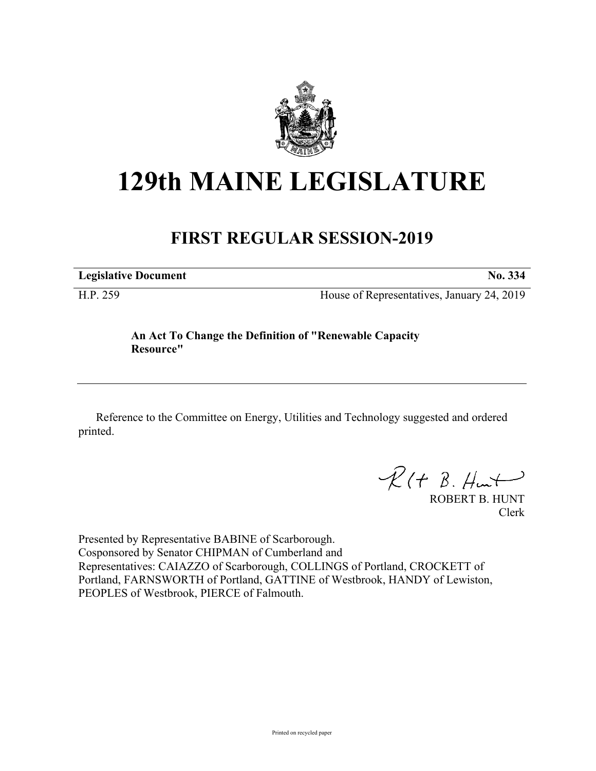

## **129th MAINE LEGISLATURE**

## **FIRST REGULAR SESSION-2019**

**Legislative Document No. 334**

H.P. 259 House of Representatives, January 24, 2019

**An Act To Change the Definition of "Renewable Capacity Resource"**

Reference to the Committee on Energy, Utilities and Technology suggested and ordered printed.

 $R(H B. H<sub>un</sub>+)$ 

ROBERT B. HUNT Clerk

Presented by Representative BABINE of Scarborough. Cosponsored by Senator CHIPMAN of Cumberland and Representatives: CAIAZZO of Scarborough, COLLINGS of Portland, CROCKETT of Portland, FARNSWORTH of Portland, GATTINE of Westbrook, HANDY of Lewiston, PEOPLES of Westbrook, PIERCE of Falmouth.